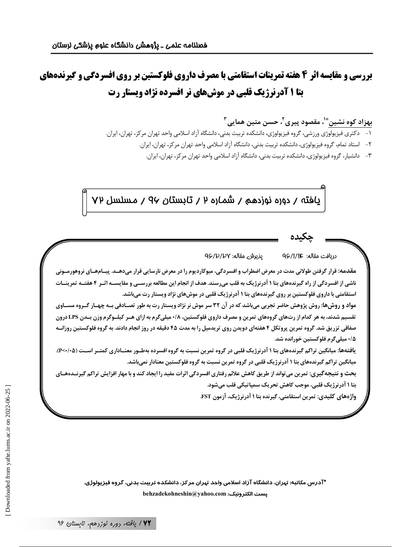**بررسی و مقایسه اثر 4 هفته تمرینات استقامتی با مصرف داروی فلوکستین بر روی افسردگی و گیرندههای بتا ۱ آدرنرژیک قلبی در موشهای نر افسرده نژاد ویستار رت** 

بهزاد کوه نشین ٌّ ٰ، مقصود پیری ٰ ٗ، حسن متین همایی ِ ؑ

- ۱– دکتری فیزیولوژی ورزشی، گروه فیزیولوژی، دانشکده تربیت بدنی، دانشگاه آزاد اسلامی واحد تهران مرکز، تهران، ایران.
	- ۲- استاد تمام، گروه فیزیولوژی، دانشکده تربیت بدنی، دانشگاه آزاد اسلامی واحد تهران مرکز، تهران، ایران.
		- ۳– دانشیار، گروه فیزیولوژی، دانشکده تربیت بدنی، دانشگاه آزاد اسلامی واحد تهران مرکز، تهران، ایران.

پافته / دوره نوزدهم / شماره ۲ / تابستان ۹۷ / مسلسل ۷۷

دريافت مقاله: Q۶/1/1C يذيرش مقاله: ٩۶/٣/١/٢

مقدمه: قرار گرفتن طولانی مدت در معرض اضطراب و افسردگی، میوکاردیوم را در معرض نارسایی قرار میدهــد. پیــامهــای نروهورمــونی ناشی از افسردگی از راه گیرندههای بتا ۱ آدرنرژیک به قلب میرسند. هدف از انجام این مطالعه بررســی و مقایســه اثــر ۴ هفتــه تمرینــات استقامتی با داروی فلوکستین بر روی گیرندههای بتا ۱ آدرنرژیک قلبی در موشهای نژاد ویستار رت میباشد.

مواد و روش&ا: روش پژوهش حاضر تجربی می باشد که در آن ۳۲ سر موش نر نژاد ویستار رت به طور تصـادفی بــه چهــار گــروه مســاوی تقسیم شدند، به هر کدام از رتهای گروههای تمرین و مصرف داروی فلوکستین، ۰/۸میلی گرم به ازای هــر کیلــوگرم وزن بــدن LPS درون صفاقی تزریق شد. گروه تمرین پروتکل ۴ هفتهای دویدن روی تریدمیل را به مدت ۴۵ دقیقه در روز انجام دادند. به گروه فلوكستین روزانـه ۰/۵ میلی *گ*رم فلوکستین خورانده شد.

يافتهها: ميانگين تراكم گيرندههاي بتا ۱ آدرنرژيک قلبي در گروه تمرين نسبت به گروه افسرده بهطــور معنــاداري کمتــر اســت (۱۰۵/۰۶). میانگین تراکم گیرندههای بتا ۱ آدرنرژیک قلبی در گروه تمرین نسبت به گروه فلوکستین معنادار نمی باشد.

بحث و نتیجهگیری: تمرین می تواند از طریق کاهش علائم رفتاری افسردگی اثرات مفید را ایجاد کند و با مهار افزایش تراکم گیرنیدههیای بتا ۱ آدرنرژیک قلبی، موجب کاهش تحریک سمیاتیکی قلب می شود.

واژههای کلیدی: تمرین استقامتی، گیرنده بتا ۱ آدرنرژیک، آزمون FST.

\*آدرس مکاتبه: تهران، دانشگاه آزاد اسلامی واحد تهران مرکز، دانشکده تربیت بدنی، گروه فیزیولوژی. behzadekohneshin@yahoo.com :يست الكترونيك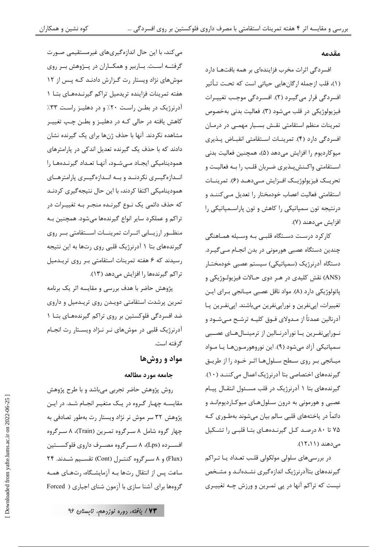#### مقدمه

افسردگی اثرات مخرب فزایندهای بر همه بافتهـا دارد (۱)، قلب ازجمله ارگانهایی حیاتی است که تحـت تـأثیر افسردگی قرار می گیبرد (۲). افسبردگی موجب تغییبرات فيزيولوژيکي در قلب مي شود (٣). فعاليت بدني به خصوص تمرینات منظم استقامتی نقش بسیار مهمـی در درمـان افسردگی دارد (۴). تمرینــات اســتقامتی انقبــاض پــذیری ميوكارديوم را افزايش مي دهد (۵)، همچنين فعاليت بدني اسـتقامتي واكـنشپـذيري ضـربان قلـب را بـه فعاليـت و تحريــک فيزيولوژيــک افــزايش مـــى‹هــد (۶). تمرينــات استقامتی فعالیت اعصاب خودمختار را تعدیل مـی کننــد و درنتیجه تون سمپاتیکی را کاهش و تون پاراسـمپاتیکی را افزایش می دهند (۷).

کارکرد درست دستگاه قلبے به وسیله هماهنگی چندین دستگاه عصبی هورمونی در بدن انجـام مـی¢یــرد. دستگاه آدرنرژیک (سمپاتیکی) سیستم عصبی خودمختـار (ANS) نقش كليدي در هـر دوي حـالات فيزيولـوژيكي و پاتولوژیکی دارد (۸). مواد ناقل عصبی میـانجی بـرای ایـن تغییرات، اپینفرین و نوراپینفرین میباشند. اپینفرین یا آدرنالین عمدتاً از مـدولای فـوق کلیــه ترشـح مـیشـود و نوراپینفرین یا نورآدرنالین از ترمینالهای عصبی سمپاتیکی آزاد میشود (۹). این نوروهورمونها یا مـواد میـانجي بـر روي سـطح سـلولهـا اثـر خـود را از طريـق گیرندههای اختصاصی بتا آدرنرژیک اعمال می کننـد (١٠). گیرندههای بتا ۱ آدرنرژیک در قلب مسئول انتقـال پیـام عصبی و هورمونی به درون سلولهای میوکاردیوماند و دائماً در پاختههای قلبی سالم بیان می شوند بهطـوری کـه ۷۵ تا ۸۰ درصد کـل گیرنـدههـای بتـا قلبـی را تشـکیل مردهند (۱۲،۱۱).

در بررسیهای سلولی مولکولی قلب تعـداد یـا تـراکم گیرندههای بتاآدرنرژیک اندازهگیری نشـدهانـد و مشـخص نیست که تراکم آنها در پی تمـرین و ورزش چـه تغییـری

می کند، با این حال اندازهگیریهای غیرمستقیمی صـورت گرفتـه اسـت. بــاربير و همكــاران در پــژوهش بــر روى موشهای نژاد ویستار رت گزارش دادنـد کـه پـس از ١٢ هفته تمرینات فزاینده تریدمیل تراکم گیرنـدههـای بتـا ١ آدرنرژیک در بطـن راسـت ۲۰٪ و در دهلیــز راسـت ۳۳٪ کاهش یافته در حالی کـه در دهلیـز و بطـن چـپ تغییـر مشاهده نکردند. آنها با حذف ژنها برای یک گیرنده نشان دادند که با حذف یک گیرنده تعدیل اندکی در پارامترهای همودینامیکی ایجاد مےشود، آنها تعداد گیرنـدههـا را انـدازهگیــری نکردنــد و بــه انــدازهگیــری پارامترهــای همودینامیکی اکتفا کردند، با این حال نتیجهگیری کردنـد که حذف دائمی یک نـوع گیرنـده منجـر بـه تغییـرات در تراکم و عملکرد سایر انواع گیرندهها میشود. همچنین بـه منظـور ارزيــابي اثــرات تمرينــات اســتقامتي بــر روى گیرندههای بتا ۱ آدرنرژیک قلبی روی رتها به این نتیجه رسیدند که ۶ هفته تمرینات استقامتی بر روی تریدمیل تراکم گیرندهها را افزایش میدهد (۱۳).

پژوهش حاضر با هدف بررسی و مقایسه اثر یک برنامه تمرین پرشدت استقامتی دویـدن روی تریـدمیل و داروی ضد افسردگی فلوکستین بر روی تراکم گیرندههـای بتـا ۱ آدرنرژیک قلبی در موشهای نـر نـژاد ویسـتار رت انجـام گرفته است.

# مواد و روشها

### جامعه مورد مطالعه

روش پژوهش حاضر تجربی میباشد و با طرح پژوهش مقایسـه چهـار گـروه در یـک متغیـر انجـام شـد. در ایـن پژوهش ۳۲ سر موش نر نژاد ویستار رت بهطور تصادفی به چهار گروه شامل ۸ سـرگروه تمـرين (Train)، ۸ سـرگروه افســرده (Lps)، ۸ ســرگروه مصــرف داروي فلوكســتين (Flux) و ۸ سـرگروه كنتـرل (Cont) تقسـيم شـدند. ۲۴ ساعت پس از انتقال رتها بـه آزمایشـگاه، رتهـای همـه گروهها برای آشنا سازی با آزمون شنای اجباری ( Forced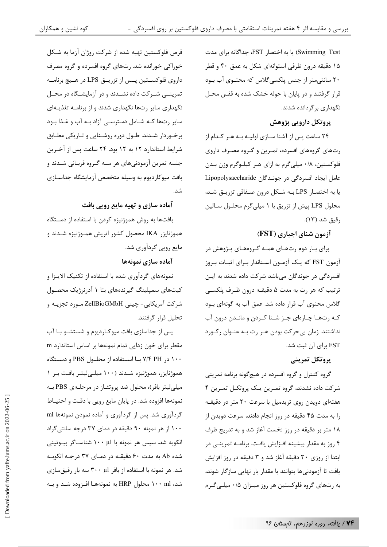Swimming Test) یا به اختصار FST، جداگانه برای مدت ۱۵ دقیقه درون ظرفی استوانهای شکل به عمق ۴۰ و قطر ۲۰ سانتی متر از جنس پلکسی گلاس که محتـوی آب بـود قرار گرفتند و در پایان با حوله خشک شده به قفس محـل نگهداری بر گردانده شدند.

# پروتکل دارویی پژوهش

۲۴ ساعت پس از آشنا سـازی اولیـه بـه هـر کـدام از رتهای گروههای افسرده، تمـرین و گـروه مصـرف داروی فلوکستین، ۰/۸ میلی گرم به ازای هـر کیلـوگرم وزن بـدن عامل ایجاد افسردگی در جوندگان Lipopolysaccharide یا به اختصـار LPS بـه شـكل درون صـفاقى تزريـق شـد، محلول LPS پیش از تزریق با ۱ میلیگرم محلـول سـالین , قيق شد (١٣).

# آزمون شنای اجباری (FST)

برای بـار دوم رتهـای همـه گـروههـای پـژوهش در آزمون FST که یـک آزمـون اسـتاندار بـرای اثبـات بـروز افسردگی در جوندگان میباشد شرکت داده شدند به ایـن ترتيب كه هر رت به مدت ۵ دقيقــه درون ظـرف پلكســي گلاس محتوی آب قرار داده شد. عمق آب به گونهای بــود كـه رتهـا چـارهاى جـز شـنا كـردن و مانـدن درون آب نداشتند. زمان بیحرکت بودن هـر رت بـه عنـوان رکـورد FST برای آن ثبت شد.

# پروتکل تمرینی

گروه کنترل و گروه افسرده در هیچگونه برنامه تمرینی شرکت داده نشدند، گروه تمـرین یـک پروتکـل تمـرین ۴ هفتهای دویدن روی تریدمیل با سرعت ۲۰ متر در دقیقـه را به مدت ۴۵ دقیقه در روز انجام دادند، سرعت دویدن از ۱۸ متر بر دقیقه در روز نخست آغاز شد و به تدریج ظرف ۴ روز به مقدار بیشینه افـزایش یافـت. برنامـه تمرینــی در ابتدا از روزی ۳۰ دقیقه آغاز شد و ۳ دقیقه در روز افزایش یافت تا آزمودنیها بتوانند با مقدار بار نهایی سازگار شوند، به رتهای گروه فلوکستین هر روز میـزان ۰/۵ میلـیگـرم

قرص فلوکستین تهیه شده از شرکت روژان آزما به شـکل خوراکی خورانده شد. رتهای گروه افسرده و گروه مصرف داروي فلوكسـتين پـس از تزريــق LPS در هــيچ برنامــه تمرینـــ شــرکت داده نشــدند و در آزمایشــگاه در محــل نگهداری سایر رتها نگهداری شدند و از برنامـه تغذیـهای سایر رتها کـه شـامل دسترسـی آزاد بـه آب و غـذا بـود برخـوردار شـدند. طـول دوره روشـنايي و تـاريكي مطـابق شرایط استاندارد ۱۲ به ۱۲ بود. ۲۴ ساعت پس از آخـرین جلسه تمرین آزمودنیهای هر سـه گـروه قربـانی شـدند و بافت میوکاردیوم به وسیله متخصص آزمایشگاه جداسازی شد.

آماده سازی و تهیه مایع رویی بافت

بافتها به روش هموژنیزه کردن با استفاده از دستگاه هموژنایزر IKA محصول کشور اتریش همـوژنیزه شـدند و مایع روپی گردآوری شد.

آماده سازی نمونهها

نمونههای گردآوری شده با استفاده از تکنیک الایـزا و کیتهای سمپلینگ گیرندههای بتا ۱ آدرنرژیک محصـول شركت آمريكايي- چينې ZellBioGMbH مـورد تجزيــه و تحليل قرار گرفتند.

پس از جداسازی بافت میوکـاردیوم و شستشــو بــا آب مقطر برای خون زدایی تمام نمونهها بر اساس استاندارد m ۱۰۰ در ۷/۴ PH بـا اسـتفاده از محلـول PBS و دسـتگاه هموژنایزر، هموژنیزه شـدند (۱۰۰ میلـه ِلیتـر بافـت بـر ۱ میلی لیتر بافر)، محلول ضد پروتئــاز در مرحلــهی PBS بــه نمونهها افزوده شد. در پایان مایع رویی با دقت و احتیـاط گردآوری شد. پس از گردآوری و آماده نمودن نمونهها ml ۱۰۰ از هر نمونه ۹۰ دقیقه در دمای ۳۷ درجه سانتی گراد انکوبه شد. سپس هر نمونه با ۱۰۰ µl شناسـاگر بیــوتینی شده Ab به مدت ۶۰ دقیقـه در دمـای ۳۷ درجـه انکوبـه شد. هر نمونه با استفاده از بافر ۳۰۰ با سه بار رقیقسازی شد، ۱۰۰ ml محلول HRP به نمونههـا افـزوده شـد و بـه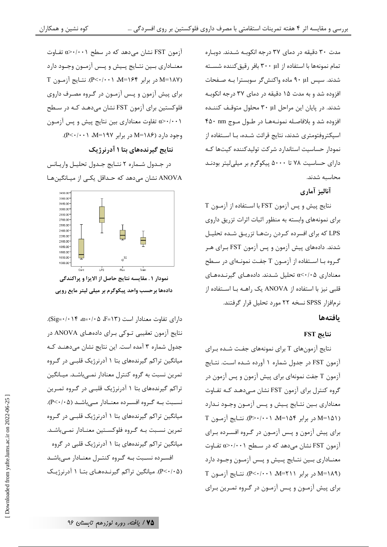مدت ۳۰ دقیقه در دمای ۳۷ درجه انکوبـه شـدند. دوبـاره تمام نمونهها با استفاده از ۳۰۰ بافر رقیق کننده شسـته شدند. سپس ۹۰ µ۱ ماده واکنشگر سوبسترا بـه صـفحات افزوده شد و به مدت ۱۵ دقیقه در دمای ۳۷ درجه انکوبـه شدند. در پایان این مراحل ۳۰ µl محلول متوقـف کننـده افزوده شد و بلافاصـله نمونــههـا در طــول مــوج ۴۵۰ ۴۵۰ اسپکتروفتومتری شدند، نتایج قرائت شـده، بـا اسـتفاده از نمودار حساسيت استاندارد شركت توليدكننده كيتها كـه دارای حساسیت ۷۸ تا ۵۰۰۰ پیکوگرم بر میلی لیتر بودنـد محاسبه شدند.

آناليز آماري

نتايج پيش و پس آزمون FST با اسـتفاده از آزمـون T برای نمونههای وابسته به منظور اثبات اثرات تزریق داروی LPS که برای افسرده کـردن رتهـا تزریـق شـده تحلیـل شدند. دادههای پیش آزمون و پس آزمون FST بـرای هـر گـروه بـا اسـتفاده از آزمـون T جفـت نمونـهای در سـطح معناداری α<۰/۰۵ تحلیل شـدند. دادههـای گیرنـدههـای قلبی نیز با استفاده از ANOVA یک راهــه بــا اســتفاده از نرمافزار SPSS نسخه ۲۲ مورد تحلیل قرار گرفتند.

### بافتهها

### $FST$  نتايج

نتایج آزمونهای T برای نمونههای جفت شـده بـرای آزمون FST در جدول شماره ۱ آورده شـده اسـت. نتـايج آزمون T جفت نمونهای برای پیش آزمون و پس آزمون در گروه کنترل برای آزمون FST نشان مےدهـد کـه تفـاوت معناداري بـين نتـايج پـيش و پـس آزمـون وجـود نـدارد T در برابر ۱۵۴=M، ۱۰+۰(P>۰/۰۰). نتـايج آزمـون T برای پیش آزمون و پـس آزمـون در گـروه افسـرده بـرای آزمون FST نشان میٍ دهد که در سـطح ۰/۰۰۱×۵ تفـاوت معنــاداري بــين نتــايج پــيش و پــس آزمــون وجــود دارد T در برابر ۲۱۱=M، (۰٫۰۰۰-P). نتـایج آزمـون T برای پیش آزمـون و پـس آزمـون در گـروه تمـرین بـرای

آزمون FST نشان می0هد که در سطح α>۰/۰۰۱ تفـاوت معنــاداري بــين نتــايج پــيش و پــس آزمــون وجــود دارد M=۱۸۷) در برابر ۱۶۴=M، ۱۰+>P). نتـايج آزمـون T برای پیش آزمون و پس آزمون در گروه مصرف داروی فلوکستین برای آزمون FST نشان میدهـد کـه در سـطح α>٠/٠٠١ تفاوت معناداري بين نتايج پيش و پس آزمون وجود دارد (۱۸۶=M در برابر ۱۹۷=M، ۲۰۰۱+.).

کوه نشین و همکاران

### نتایج گیرندههای بتا ۱ آدرنرژیک

در جدول شـماره ٢ نتـايج جـدول تحليـل واريـانس ANOVA نشان می دهد که حـداقل یکـی از میـانگینهـا



نمودار ١ . مقايسه نتايج حاصل از الايزا و پراكندگي دادهها برحسب واحد پیکوگرم بر میلی لیتر مایع روپی

 $\sigma$ دارای تفاوت معنادار است (F=۱۳، ۲۰۵ $\alpha$ ۰۰ (Sig=۰/۰۱۴ نتايج آزمون تعقيبي تـوكي بـراي دادههـاي ANOVA در جدول شماره ۳ آمده است. این نتایج نشان میدهنـد کـه میانگین تراکم گیرندههای بتا ۱ آدرنرژیک قلبے در گـروه تمرین نسبت به گروه کنترل معنادار نمـیباشـد. میـانگین تراکم گیرندههای بتا ۱ آدرنرژیک قلبـی در گـروه تمـرین نسبت به گروه افسرده معنادار میباشد (P<٠/٠۵). میانگین تراکم گیرندههای بتا ۱ آدرنرژیک قلبـی در گـروه تمرین نسـبت بـه گـروه فلوكسـتین معنـادار نمـیباشـد. میانگین تراکم گیرندههای بتا ۱ آدرنرژیک قلبی در گروه افسـرده نسـبت بـه گـروه كنتـرل معنـادار مـىباشـد (P<۰/۰۵). میانگین تراکم گیرنـدههـای بتـا ۱ آدرنرژیـک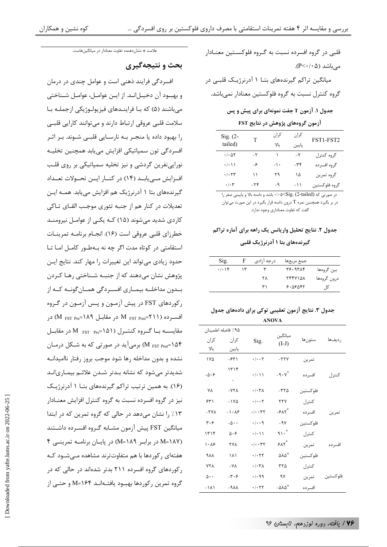قلبي در گروه افسرده نسبت به گـروه فلوکســتين معنــادار مے باشد (P<٠/٠۵). میانگین تراکم گیرندههای بتـا ۱ آدرنرژیـک قلبـی در گروه کنترل نسبت به گروه فلوکستین معنادار نمی باشد.

جدول ۱. آزمون T جفت نمونهای برای پیش و پس

آزمون گروههای پژوهش در نتایج FST

| $Sig. (2-$                              | T             | کران   | کران          | FST1-FST2     |  |
|-----------------------------------------|---------------|--------|---------------|---------------|--|
| tailed)                                 |               | YL     | يايين         |               |  |
| $\cdot$ / $\cdot$ $\Delta$ $\Upsilon$   | $-\mathsf{r}$ |        | $-\mathsf{Y}$ | گروه کنترل    |  |
| $\cdot$ / $\cdot$ \ \                   | -6            | $-1$ . | $-\tau f$     | گروه افسر ده  |  |
| $\cdot$ / $\cdot$ $\uparrow$ $\uparrow$ | ۱۱            | ۲۹     | ۱۵            | گروه تمرين    |  |
| $\cdot$ / $\cdot$ $\tau$                | $-Y$ ۴        | -۹     | $-11$         | گروه فلوکستین |  |

در صورتی که Sig. (2-tailed) - باشد و دامنه بالا و پایینی صفر را در بر بگیرد همچنین نمره T درون دامنه قرار بگیرد در این صورت میتوان گفت که تفاوت معناداری وجود ندارد.

### جدول ۲. نتایج تحلیل واریانس یک راهه برای آماره تراکم

#### گیرندههای بتا ۱ آدرنرژیک قلبی

| Sig.  | F  | درجه ازادی | جمع مربعها     |             |
|-------|----|------------|----------------|-------------|
| .1.19 | ۱۳ |            | ۳۶۰۹۳۸۴        | بین گروهها  |
|       |    | ۲۸         | <b>TFFV141</b> | درون گروهها |
|       |    | ۳۱         | ۶۰۵۶۵۴۲        | كل          |

#### جدول ۳. نتایج آزمون تعقیبی توکی برای دادههای جدول **ANOVA**

| ۹۵٪ فاصله اطمينان    |                              |                                   |                               |           |          |
|----------------------|------------------------------|-----------------------------------|-------------------------------|-----------|----------|
| كران                 | کران                         | Sig.                              | ميانگين<br>$(I-J)$            | ستونها    | , دیفها  |
| بالا                 | پايين                        |                                   |                               |           |          |
| ۱۷۵                  | $-54$                        | $\cdot$ / $\cdot$ $\cdot$ $\cdot$ | $-YYY$                        | تمرين     |          |
| $-\Delta \cdot 5$    | ۱۳۱۴                         | $\cdot$ / $\cdot$ / $\cdot$       | $-9.1$                        | افسر ده   | كنترل    |
| ٧٨                   | $-YY$                        | .1.7A                             | $-\mathbf{r}\mathbf{r}\Delta$ | فلو كستين |          |
| ۶۳۱                  | $-1Y\Delta$                  | $\cdot$ / $\cdot$ $\cdot$ $\cdot$ | <b>TTY</b>                    | كنترل     |          |
| $-YV$                | $-1.8$                       | . / 77                            | $-5\lambda t^*$               | افسرده    | تمرين    |
| ۳۰۶                  | $-\Delta \cdot \cdot$        | $\cdot/\cdot\cdot$ 9              | $-9V$                         | فلوكستين  |          |
| ۱۳۱۴                 | $\Delta \cdot 5$             | $\cdot/\cdot$ ) )                 | 91.                           | كنترل     |          |
| ۱۰۸۶                 | <b>TYA</b>                   | . / 77                            | $\gamma_{\Lambda} \gamma^*$   | تمرين     | افسر ده  |
| ۹۸۸                  | ۱۸۱                          | .1.57                             | $\triangle\Lambda\triangle^*$ | فلوكستين  |          |
| <b>YYA</b>           | $-\mathsf{Y}\Lambda$         | $\cdot/\cdot\tau$                 | ٣٢۵                           | كنترل     |          |
| $\Delta \cdot \cdot$ | $-\mathbf{r}\cdot\mathbf{r}$ | .1.99                             | ٩٧                            | تمرين     | فلوكستين |
| $-1A$                | $AAP -$                      | .1.57                             | $-\Delta\lambda\Delta^*$      | افسر ده   |          |

علامت \* نشاندهنده تفاوت معنادار در میانگینهاست.

### بحث و نتيجهگيري

افسردگی فرایند ذهنی است و عوامل چندی در درمان و بهبود آن دخيـلانـد. از ايـن عوامـل، عوامـل شـناختى میباشند (۵) که بـا فراینــدهای فیزیولــوژیکی ازجملــه بـا سلامت قلبی عروقی ارتباط دارند و میتوانند کارایی قلبی را بهبود داده یا منجـر بـه نارسـایی قلبـی شـوند. بـر اثـر افسردگی تون سمپاتیکی افزایش مییابد همچنین تخلیـه نوراپینفرین گردشی و نیز تخلیه سمپاتیکی بر روی قلب افزایش مـیابـد (۱۴) در کنــار ایــن تحـولات تعــداد گیرندههای بتا ۱ آدرنرژیک هم افزایش می یابد. همـه ایـن تعديلات در كنار هم از جنبه تئوري موجب القـاي تـاكي کاردی شدید مے شوند (۱۵) کـه یکـی از عوامـل نیرومنـد خطرزای قلبی عروقی است (۱۶). انجـام برنامــه تمرینــات استقامتی در کوتاه مدت اگر چه نه بهطـور کامـل امـا تـا حدود زیادی می تواند این تغییرات را مهار کند. نتایج ایـن پژوهش نشان میدهند که از جنبـه شـناختی رهـا کـردن یندون مداخلیه بیمیاری افسیردگی همیان گونیه کنه از , کوردهای FST در پیش آزمون و پس آزمون در گروه افسـرده (۲۱۱ج $_{\rm FST\ Post}$  در مقابـل ۱۸۹ $_{\rm FST\ Post}$  در مقایســه بــا گــروه کنتــرل (۱۵۱=FST Pre در مقابــل M FST Post=۱۵۴) برمی آید در صورتی که به شـکل درمـان نشده و بدون مداخله رها شود موجب بروز رفتار ناامیدانـه شدیدتر میشود که نشانه بـدتر شـدن علائـم بیمـاری|نـد (۱۶). به همین ترتیب تراکم گیرندههای بتـا ۱ آدرنرژیـک نیز در گروه افسرده نسبت به گروه کنترل افزایش معنــادار ۱۳٪ را نشان میدهد در حالی که گروه تمرین که در ابتدا میانگین FST پیش آزمون مشـابه گـروه افسـرده داشـتند (M=۱۸۷ در براب (M=۱۸۹) در پایان برنامـه تمرینــی ۴ هفتهای رکوردها با هم متفاوتترند مشاهده مے شـود کـه ر کوردهای گروه افسرده ۲۱۱ بدتر شدهاند در حالی که در گروه تمرین رکوردها بهبود یافتـهانـد N=۱۶۴ و حتـی از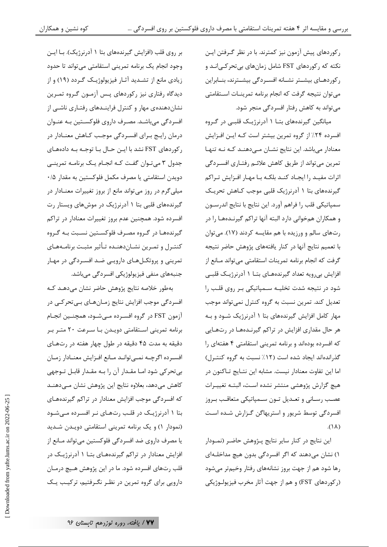رکوردهای پیش آزمون نیز کمترند. با در نظر گـرفتن ایـن نکته که رکوردهای FST شامل زمانهای بیتحرکـیانـد و رکوردهـای بیشـتر نشـانه افسـردگی بیشـترند، بنـابراین می توان نتیجه گرفت که انجام برنامه تمرینـات اسـتقامتی می تواند به کاهش رفتار افسردگی منجر شود.

میانگین گیرندههای بتـا ۱ آدرنرژیـک قلبـی در گـروه افسرده ۲۴٪ از گروه تمرین بیشتر است کـه ایـن افـزایش معنادار میباشد. این نتایج نشـان مـیدهنـد کـه نـه تنهـا تمرین میتواند از طریق کاهش علائـم رفتـاری افسـردگی اثرات مفيـد را ايجـاد كنـد بلكـه بـا مهـار افـزايش تـراكم گیرندههای بتا ۱ آدرنرژیک قلبی موجب کـاهش تحریـک سمپاتیکی قلب را فراهم آورد. این نتایج با نتایج اندرسـون و همکاران همخوانی دارد البته آنها تراکم گیرنـدههـا را در رتهای سالم و ورزیده با هم مقایسه کردند (١٧). می توان با تعمیم نتایج آنها در کنار یافتههای پژوهش حاضر نتیجه گرفت که انجام برنامه تمرینات استقامتی می تواند مـانع از افزایش بی رویه تعداد گیرندههـای بتـا ۱ آدرنرژیـک قلبـی شود در نتیجه شدت تخلیـه سـمپاتیکی بـر روی قلـب را تعدیل کند. تمرین نسبت به گروه کنترل نمی تواند موجب مهار کامل افزایش گیرندههای بتا ۱ آدرنرژیک شـود و بـه هر حال مقداری افزایش در تراکم گیرنـدههـا در رتهـایی که افسرده بودهاند و برنامه تمرینی استقامتی ۴ هفتهای را گذراندهاند ایجاد شده است (۱۲٪ نسبت به گروه کنتـرل) اما این تفاوت معنادار نیست. مشابه این نتـایج تـاکنون در هيچ گزارش پژوهشي منتشر نشده است، البتـه تغييـرات عصب رسـاني و تعـديل تـون سـمپاتيكي متعاقـب بـروز افسردگی توسط شریور و استریهاگن گـزارش شـده اسـت  $(\lambda)$ .

این نتایج در کنار سایر نتایج پـژوهش حاضـر (نمـودار ١) نشان میدهند که اگر افسردگی بدون هیچ مداخلـهای رها شود هم از جهت بروز نشانههای رفتار وخیمتر میشود (ركوردهاي FST) و هم از جهت آثار مخرب فيزيولـوژيكي

بر روی قلب (افزایش گیرندههای بتا ۱ آدرنرژیک). بـا ایـن وجود انجام یک برنامه تمرینی استقامتی میتواند تا حدود زیادی مانع از تشـدید آثـار فیزیولوژیـک گـردد (١٩) و از دیدگاه رفتاری نیز رکوردهای پس آزمون گـروه تمـرین نشان دهنده ی مهار و کنترل فراینـدهای رفتـاری ناشـی از افسردگی میباشد. مصرف داروی فلوکستین بـه عنـوان درمان رایج بـرای افسـردگی موجـب كـاهش معنـادار در رکوردهای FST نشد با ایـن حـال بـا توجـه بـه دادههـای جدول ۳ میتوان گفت که انجام یک برنامه تمرینی دویدن استقامتی یا مصرف مکمل فلوکستین به مقدار ۰/۵ میلی گرم در روز می تواند مانع از بروز تغییرات معنـادار در گیرندههای قلبی بتا ۱ آدرنرژیک در موشهای ویستار رت افسرده شود. همچنین عدم بروز تغییرات معنادار در تراکم گیرندههـا در گـروه مصـرف فلوکسـتین نسـبت بـه گـروه کنتـرل و تمـرین نشـان‹هنـده تـأثیر مثبـت برنامـههـای تمرینی و پروتکـلهـای دارویـی ضـد افسـردگی در مهـار جنبههای منفی فیزیولوژیکی افسردگی میباشد.

بەطور خلاصه نتايج پژوهش حاضر نشان مى دهـد كـه افسردگی موجب افزایش نتایج زمـانهـای بـیتحرکـی در آزمون FST در گروه افسـرده مـىشـود، همچنـين انجـام برنامه تمرینی استقامتی دویـدن بـا سـرعت ٢٠ متـر بـر دقیقه به مدت ۴۵ دقیقه در طول چهار هفته در رتهای افسـرده اگرچـه نمـىتوانـد مـانع افـزايش معنـادار زمـان بی تحرکی شود امـا مقـدار آن را بـه مقـدار قابـل تـوجهی كاهش مى دهد، بعلاوه نتايج اين پژوهش نشان مى دهنـد که افسردگی موجب افزایش معنادار در تراکم گیرندههای بتا ۱ آدرنرژیک در قلب رتهای نر افسرده میشود (نمودار ١) و یک برنامه تمرینی استقامتی دویدن شدید یا مصرف داروی ضد افسردگی فلوکستین می تواند مـانع از افزایش معنادار در تراکم گیرندههـای بتـا ۱ آدرنرژیـک در قلب رتهای افسرده شود. ما در این پژوهش هـیچ درمـان دارویی برای گروه تمرین در نظـر نگـرفتیم، ترکیـب یـک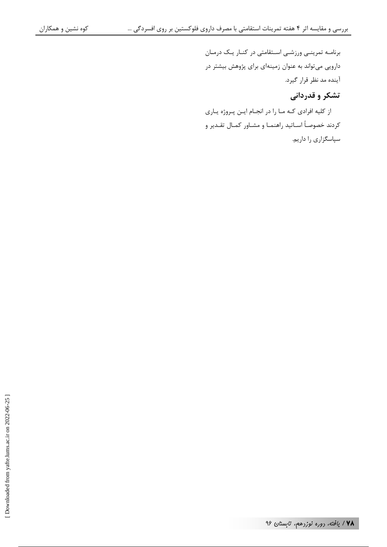برنامـه تمرینـی ورزشـی اسـتقامتی در کنـار یـک درمـان دارویی می تواند به عنوان زمینهای برای پژوهش بیشتر در آینده مد نظر قرار گیرد.

# تشکر و قدردانی

از کلیه افرادی کـه مـا را در انجـام ايـن پـروژه يـاري كردند خصوصأ اسـاتيد راهنمـا و مشـاور كمـال تقـدير و سپاسگزاری را داریم.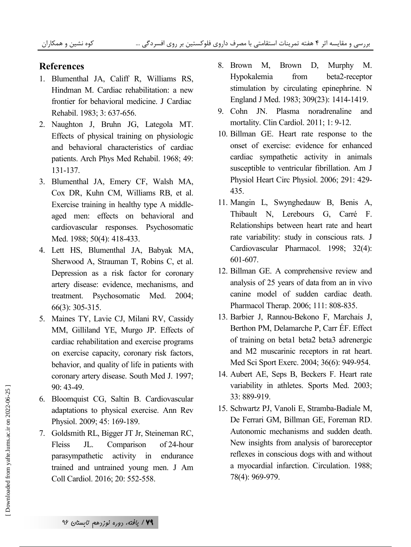## **References**

- 1. Blumenthal JA, Califf R, Williams RS, Hindman M. Cardiac rehabilitation: a new frontier for behavioral medicine. J Cardiac Rehabil. 1983; 3: 637-656.
- 2. Naughton J, Bruhn JG, Lategola MT. Effects of physical training on physiologic and behavioral characteristics of cardiac patients. Arch Phys Med Rehabil. 1968; 49: 131-137.
- 3. Blumenthal JA, Emery CF, Walsh MA, Cox DR, Kuhn CM, Williams RB, et al. Exercise training in healthy type A middleaged men: effects on behavioral and cardiovascular responses. Psychosomatic Med. 1988; 50(4): 418-433.
- 4. Lett HS, Blumenthal JA, Babyak MA, Sherwood A, Strauman T, Robins C, et al. Depression as a risk factor for coronary artery disease: evidence, mechanisms, and treatment. Psychosomatic Med. 2004; 66(3): 305-315.
- 5. Maines TY, Lavie CJ, Milani RV, Cassidy MM, Gilliland YE, Murgo JP. Effects of cardiac rehabilitation and exercise programs on exercise capacity, coronary risk factors, behavior, and quality of life in patients with coronary artery disease. South Med J. 1997; 90: 43-49.
- 6. Bloomquist CG, Saltin B. Cardiovascular adaptations to physical exercise. Ann Rev Physiol. 2009; 45: 169-189.
- 7. Goldsmith RL, Bigger JT Jr, Steineman RC, Fleiss JL. Comparison of 24-hour parasympathetic activity in endurance trained and untrained young men. J Am Coll Cardiol. 2016; 20: 552-558.
- 8. Brown M, Brown D, Murphy M. Hypokalemia from beta2-receptor stimulation by circulating epinephrine. N England J Med. 1983; 309(23): 1414-1419.
- 9. Cohn JN. Plasma noradrenaline and mortality. Clin Cardiol. 2011; 1: 9-12.
- 10. Billman GE. Heart rate response to the onset of exercise: evidence for enhanced cardiac sympathetic activity in animals susceptible to ventricular fibrillation. Am J Physiol Heart Circ Physiol. 2006; 291: 429- 435.
- 11. Mangin L, Swynghedauw B, Benis A, Thibault N, Lerebours G, Carré F. Relationships between heart rate and heart rate variability: study in conscious rats. J Cardiovascular Pharmacol. 1998; 32(4): 601-607.
- 12. Billman GE. A comprehensive review and analysis of 25 years of data from an in vivo canine model of sudden cardiac death. Pharmacol Therap. 2006; 111: 808-835.
- 13. Barbier J, Rannou-Bekono F, Marchais J, Berthon PM, Delamarche P, Carr ÉF. Effect of training on beta1 beta2 beta3 adrenergic and M2 muscarinic receptors in rat heart. Med Sci Sport Exerc. 2004; 36(6): 949-954.
- 14. Aubert AE, Seps B, Beckers F. Heart rate variability in athletes. Sports Med. 2003; 33: 889-919.
- 15. Schwartz PJ, Vanoli E, Stramba-Badiale M, De Ferrari GM, Billman GE, Foreman RD. Autonomic mechanisms and sudden death. New insights from analysis of baroreceptor reflexes in conscious dogs with and without a myocardial infarction. Circulation. 1988; 78(4): 969-979.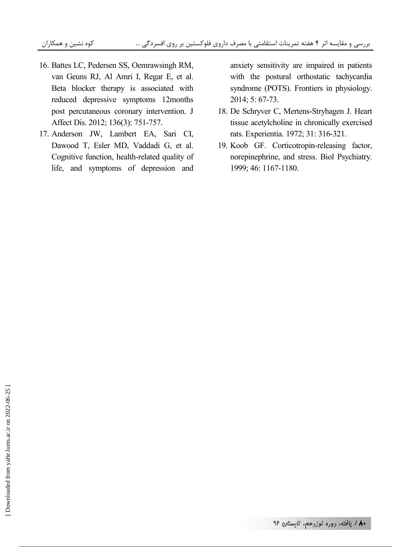- 16. Battes LC, Pedersen SS, Oemrawsingh RM, van Geuns RJ, Al Amri I, Regar E, et al. Beta blocker therapy is associated with reduced depressive symptoms 12months post percutaneous coronary intervention. J Affect Dis. 2012; 136(3): 751-757.
- 17. Anderson JW, Lambert EA, Sari CI, Dawood T, Esler MD, Vaddadi G, et al. Cognitive function, health-related quality of life, and symptoms of depression and

anxiety sensitivity are impaired in patients with the postural orthostatic tachycardia syndrome (POTS). Frontiers in physiology. 2014; 5: 67-73.

- 18. De Schryver C, Mertens-Stryhagen J. Heart tissue acetylcholine in chronically exercised rats. Experientia. 1972; 31: 316-321.
- 19. Koob GF. Corticotropin-releasing factor, norepinephrine, and stress. Biol Psychiatry. 1999; 46: 1167-1180.